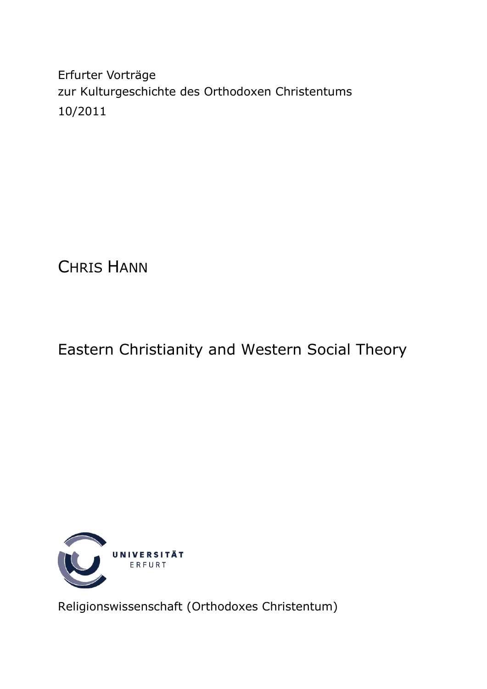Erfurter Vorträge zur Kulturgeschichte des Orthodoxen Christentums 10/2011

CHRIS HANN

# Eastern Christianity and Western Social Theory



Religionswissenschaft (Orthodoxes Christentum)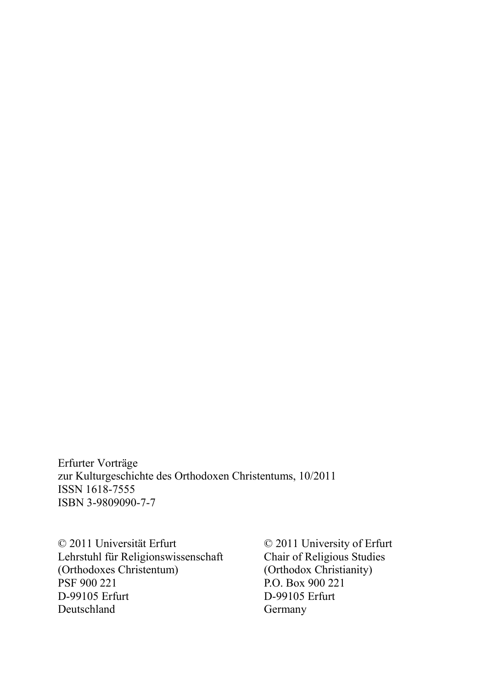Erfurter Vorträge zur Kulturgeschichte des Orthodoxen Christentums, 10/2011 ISSN 1618-7555 ISBN 3-9809090-7-7

© 2011 Universität Erfurt © 2011 University of Erfurt Lehrstuhl für Religionswissenschaft Chair of Religious Studies<br>
(Orthodoxes Christentum) (Orthodox Christianity) (Orthodoxes Christentum)<br>PSF 900 221 D-99105 Erfurt D-99105 Erfurt Deutschland Germany

P.O. Box 900 221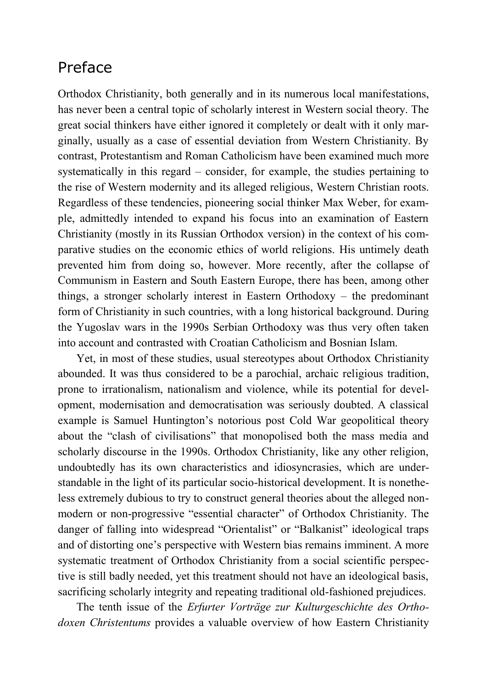# Preface

Orthodox Christianity, both generally and in its numerous local manifestations, has never been a central topic of scholarly interest in Western social theory. The great social thinkers have either ignored it completely or dealt with it only marginally, usually as a case of essential deviation from Western Christianity. By contrast, Protestantism and Roman Catholicism have been examined much more systematically in this regard – consider, for example, the studies pertaining to the rise of Western modernity and its alleged religious, Western Christian roots. Regardless of these tendencies, pioneering social thinker Max Weber, for example, admittedly intended to expand his focus into an examination of Eastern Christianity (mostly in its Russian Orthodox version) in the context of his comparative studies on the economic ethics of world religions. His untimely death prevented him from doing so, however. More recently, after the collapse of Communism in Eastern and South Eastern Europe, there has been, among other things, a stronger scholarly interest in Eastern Orthodoxy – the predominant form of Christianity in such countries, with a long historical background. During the Yugoslav wars in the 1990s Serbian Orthodoxy was thus very often taken into account and contrasted with Croatian Catholicism and Bosnian Islam.

Yet, in most of these studies, usual stereotypes about Orthodox Christianity abounded. It was thus considered to be a parochial, archaic religious tradition, prone to irrationalism, nationalism and violence, while its potential for development, modernisation and democratisation was seriously doubted. A classical example is Samuel Huntington's notorious post Cold War geopolitical theory about the "clash of civilisations" that monopolised both the mass media and scholarly discourse in the 1990s. Orthodox Christianity, like any other religion, undoubtedly has its own characteristics and idiosyncrasies, which are understandable in the light of its particular socio-historical development. It is nonetheless extremely dubious to try to construct general theories about the alleged nonmodern or non-progressive "essential character" of Orthodox Christianity. The danger of falling into widespread "Orientalist" or "Balkanist" ideological traps and of distorting one's perspective with Western bias remains imminent. A more systematic treatment of Orthodox Christianity from a social scientific perspective is still badly needed, yet this treatment should not have an ideological basis, sacrificing scholarly integrity and repeating traditional old-fashioned prejudices.

The tenth issue of the *Erfurter Vorträge zur Kulturgeschichte des Orthodoxen Christentums* provides a valuable overview of how Eastern Christianity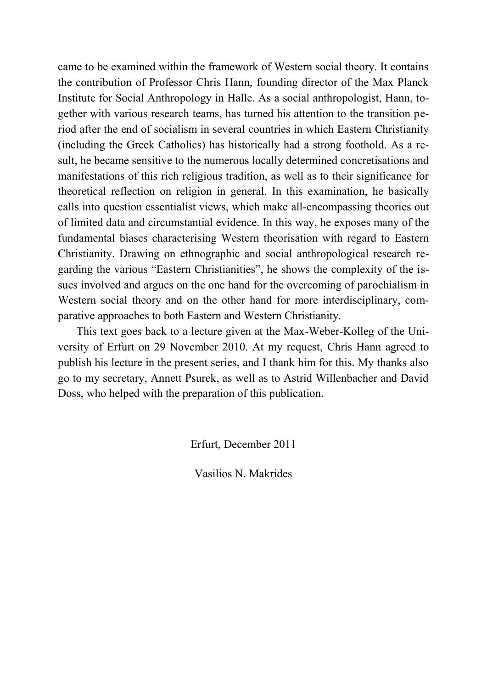came to be examined within the framework of Western social theory. It contains the contribution of Professor Chris Hann, founding director of the Max Planck Institute for Social Anthropology in Halle. As a social anthropologist, Hann, together with various research teams, has turned his attention to the transition period after the end of socialism in several countries in which Eastern Christianity (including the Greek Catholics) has historically had a strong foothold. As a result, he became sensitive to the numerous locally determined concretisations and manifestations of this rich religious tradition, as well as to their significance for theoretical reflection on religion in general. In this examination, he basically calls into question essentialist views, which make all-encompassing theories out of limited data and circumstantial evidence. In this way, he exposes many of the fundamental biases characterising Western theorisation with regard to Eastern Christianity. Drawing on ethnographic and social anthropological research regarding the various "Eastern Christianities", he shows the complexity of the issues involved and argues on the one hand for the overcoming of parochialism in Western social theory and on the other hand for more interdisciplinary, comparative approaches to both Eastern and Western Christianity.

This text goes back to a lecture given at the Max-Weber-Kolleg of the University of Erfurt on 29 November 2010. At my request, Chris Hann agreed to publish his lecture in the present series, and I thank him for this. My thanks also go to my secretary, Annett Psurek, as well as to Astrid Willenbacher and David Doss, who helped with the preparation of this publication.

Erfurt, December 2011

Vasilios N. Makrides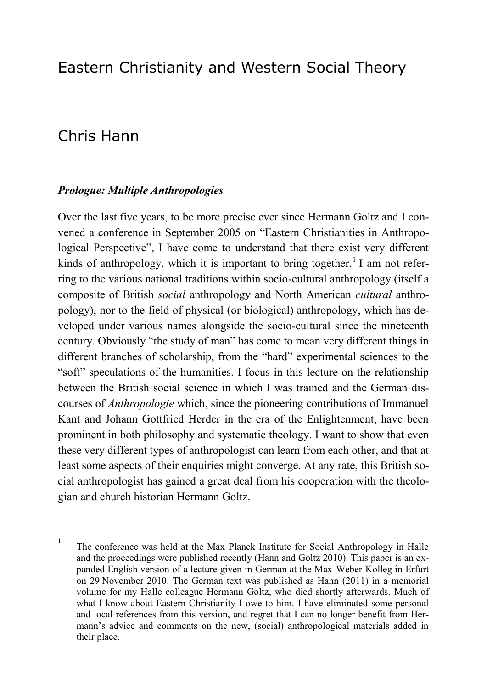# Eastern Christianity and Western Social Theory

# Chris Hann

### *Prologue: Multiple Anthropologies*

Over the last five years, to be more precise ever since Hermann Goltz and I convened a conference in September 2005 on "Eastern Christianities in Anthropological Perspective", I have come to understand that there exist very different kinds of anthropology, which it is important to bring together.<sup>1</sup> I am not referring to the various national traditions within socio-cultural anthropology (itself a composite of British *social* anthropology and North American *cultural* anthropology), nor to the field of physical (or biological) anthropology, which has developed under various names alongside the socio-cultural since the nineteenth century. Obviously "the study of man" has come to mean very different things in different branches of scholarship, from the "hard" experimental sciences to the "soft" speculations of the humanities. I focus in this lecture on the relationship between the British social science in which I was trained and the German discourses of *Anthropologie* which, since the pioneering contributions of Immanuel Kant and Johann Gottfried Herder in the era of the Enlightenment, have been prominent in both philosophy and systematic theology. I want to show that even these very different types of anthropologist can learn from each other, and that at least some aspects of their enquiries might converge. At any rate, this British social anthropologist has gained a great deal from his cooperation with the theologian and church historian Hermann Goltz.

 $\frac{1}{1}$ The conference was held at the Max Planck Institute for Social Anthropology in Halle and the proceedings were published recently (Hann and Goltz 2010). This paper is an expanded English version of a lecture given in German at the Max-Weber-Kolleg in Erfurt on 29 November 2010. The German text was published as Hann (2011) in a memorial volume for my Halle colleague Hermann Goltz, who died shortly afterwards. Much of what I know about Eastern Christianity I owe to him. I have eliminated some personal and local references from this version, and regret that I can no longer benefit from Hermann's advice and comments on the new, (social) anthropological materials added in their place.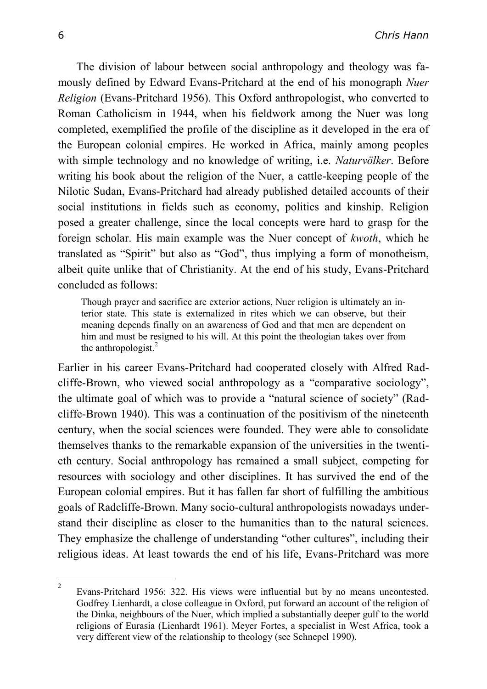The division of labour between social anthropology and theology was famously defined by Edward Evans-Pritchard at the end of his monograph *Nuer Religion* (Evans-Pritchard 1956). This Oxford anthropologist, who converted to Roman Catholicism in 1944, when his fieldwork among the Nuer was long completed, exemplified the profile of the discipline as it developed in the era of the European colonial empires. He worked in Africa, mainly among peoples with simple technology and no knowledge of writing, i.e. *Naturvölker*. Before writing his book about the religion of the Nuer, a cattle-keeping people of the Nilotic Sudan, Evans-Pritchard had already published detailed accounts of their social institutions in fields such as economy, politics and kinship. Religion posed a greater challenge, since the local concepts were hard to grasp for the foreign scholar. His main example was the Nuer concept of *kwoth*, which he translated as "Spirit" but also as "God", thus implying a form of monotheism, albeit quite unlike that of Christianity. At the end of his study, Evans-Pritchard concluded as follows:

Though prayer and sacrifice are exterior actions, Nuer religion is ultimately an interior state. This state is externalized in rites which we can observe, but their meaning depends finally on an awareness of God and that men are dependent on him and must be resigned to his will. At this point the theologian takes over from the anthropologist. $^{2}$ 

Earlier in his career Evans-Pritchard had cooperated closely with Alfred Radcliffe-Brown, who viewed social anthropology as a "comparative sociology", the ultimate goal of which was to provide a "natural science of society" (Radcliffe-Brown 1940). This was a continuation of the positivism of the nineteenth century, when the social sciences were founded. They were able to consolidate themselves thanks to the remarkable expansion of the universities in the twentieth century. Social anthropology has remained a small subject, competing for resources with sociology and other disciplines. It has survived the end of the European colonial empires. But it has fallen far short of fulfilling the ambitious goals of Radcliffe-Brown. Many socio-cultural anthropologists nowadays understand their discipline as closer to the humanities than to the natural sciences. They emphasize the challenge of understanding "other cultures", including their religious ideas. At least towards the end of his life, Evans-Pritchard was more

 $\frac{1}{2}$ Evans-Pritchard 1956: 322. His views were influential but by no means uncontested. Godfrey Lienhardt, a close colleague in Oxford, put forward an account of the religion of the Dinka, neighbours of the Nuer, which implied a substantially deeper gulf to the world religions of Eurasia (Lienhardt 1961). Meyer Fortes, a specialist in West Africa, took a very different view of the relationship to theology (see Schnepel 1990).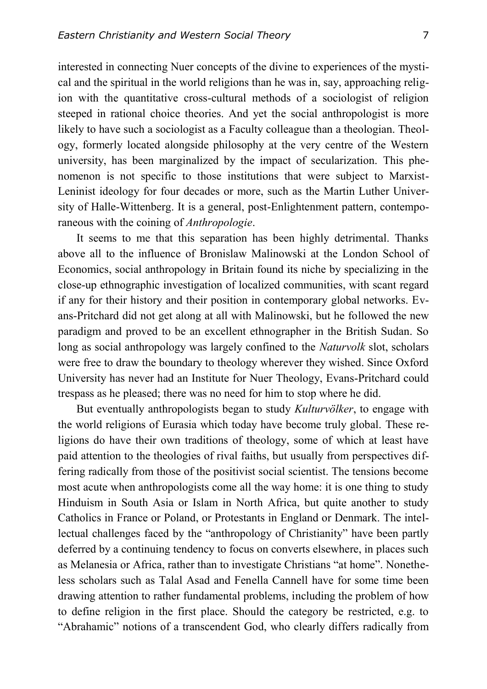interested in connecting Nuer concepts of the divine to experiences of the mystical and the spiritual in the world religions than he was in, say, approaching religion with the quantitative cross-cultural methods of a sociologist of religion steeped in rational choice theories. And yet the social anthropologist is more likely to have such a sociologist as a Faculty colleague than a theologian. Theology, formerly located alongside philosophy at the very centre of the Western university, has been marginalized by the impact of secularization. This phenomenon is not specific to those institutions that were subject to Marxist-Leninist ideology for four decades or more, such as the Martin Luther University of Halle-Wittenberg. It is a general, post-Enlightenment pattern, contemporaneous with the coining of *Anthropologie*.

It seems to me that this separation has been highly detrimental. Thanks above all to the influence of Bronislaw Malinowski at the London School of Economics, social anthropology in Britain found its niche by specializing in the close-up ethnographic investigation of localized communities, with scant regard if any for their history and their position in contemporary global networks. Evans-Pritchard did not get along at all with Malinowski, but he followed the new paradigm and proved to be an excellent ethnographer in the British Sudan. So long as social anthropology was largely confined to the *Naturvolk* slot, scholars were free to draw the boundary to theology wherever they wished. Since Oxford University has never had an Institute for Nuer Theology, Evans-Pritchard could trespass as he pleased; there was no need for him to stop where he did.

But eventually anthropologists began to study *Kulturvölker*, to engage with the world religions of Eurasia which today have become truly global. These religions do have their own traditions of theology, some of which at least have paid attention to the theologies of rival faiths, but usually from perspectives differing radically from those of the positivist social scientist. The tensions become most acute when anthropologists come all the way home: it is one thing to study Hinduism in South Asia or Islam in North Africa, but quite another to study Catholics in France or Poland, or Protestants in England or Denmark. The intellectual challenges faced by the "anthropology of Christianity" have been partly deferred by a continuing tendency to focus on converts elsewhere, in places such as Melanesia or Africa, rather than to investigate Christians "at home". Nonetheless scholars such as Talal Asad and Fenella Cannell have for some time been drawing attention to rather fundamental problems, including the problem of how to define religion in the first place. Should the category be restricted, e.g. to "Abrahamic" notions of a transcendent God, who clearly differs radically from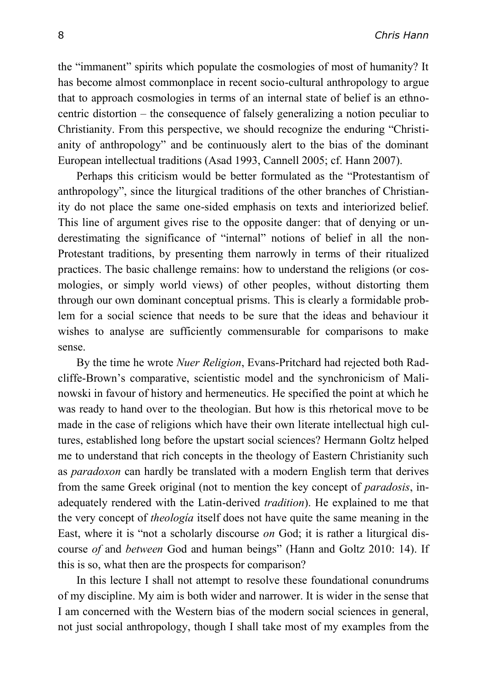the "immanent" spirits which populate the cosmologies of most of humanity? It has become almost commonplace in recent socio-cultural anthropology to argue that to approach cosmologies in terms of an internal state of belief is an ethnocentric distortion – the consequence of falsely generalizing a notion peculiar to Christianity. From this perspective, we should recognize the enduring "Christianity of anthropology" and be continuously alert to the bias of the dominant European intellectual traditions (Asad 1993, Cannell 2005; cf. Hann 2007).

Perhaps this criticism would be better formulated as the "Protestantism of anthropology", since the liturgical traditions of the other branches of Christianity do not place the same one-sided emphasis on texts and interiorized belief. This line of argument gives rise to the opposite danger: that of denying or underestimating the significance of "internal" notions of belief in all the non-Protestant traditions, by presenting them narrowly in terms of their ritualized practices. The basic challenge remains: how to understand the religions (or cosmologies, or simply world views) of other peoples, without distorting them through our own dominant conceptual prisms. This is clearly a formidable problem for a social science that needs to be sure that the ideas and behaviour it wishes to analyse are sufficiently commensurable for comparisons to make sense.

By the time he wrote *Nuer Religion*, Evans-Pritchard had rejected both Radcliffe-Brown's comparative, scientistic model and the synchronicism of Malinowski in favour of history and hermeneutics. He specified the point at which he was ready to hand over to the theologian. But how is this rhetorical move to be made in the case of religions which have their own literate intellectual high cultures, established long before the upstart social sciences? Hermann Goltz helped me to understand that rich concepts in the theology of Eastern Christianity such as *paradoxon* can hardly be translated with a modern English term that derives from the same Greek original (not to mention the key concept of *paradosis*, inadequately rendered with the Latin-derived *tradition*). He explained to me that the very concept of *theología* itself does not have quite the same meaning in the East, where it is "not a scholarly discourse *on* God; it is rather a liturgical discourse *of* and *between* God and human beings" (Hann and Goltz 2010: 14). If this is so, what then are the prospects for comparison?

In this lecture I shall not attempt to resolve these foundational conundrums of my discipline. My aim is both wider and narrower. It is wider in the sense that I am concerned with the Western bias of the modern social sciences in general, not just social anthropology, though I shall take most of my examples from the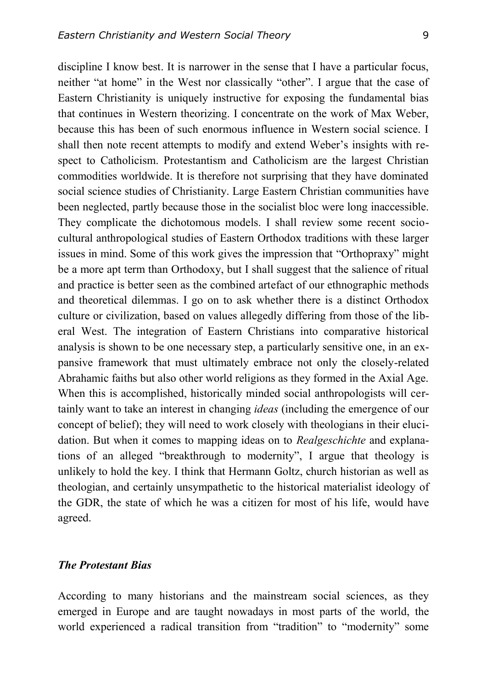discipline I know best. It is narrower in the sense that I have a particular focus, neither "at home" in the West nor classically "other". I argue that the case of Eastern Christianity is uniquely instructive for exposing the fundamental bias that continues in Western theorizing. I concentrate on the work of Max Weber, because this has been of such enormous influence in Western social science. I shall then note recent attempts to modify and extend Weber's insights with respect to Catholicism. Protestantism and Catholicism are the largest Christian commodities worldwide. It is therefore not surprising that they have dominated social science studies of Christianity. Large Eastern Christian communities have been neglected, partly because those in the socialist bloc were long inaccessible. They complicate the dichotomous models. I shall review some recent sociocultural anthropological studies of Eastern Orthodox traditions with these larger issues in mind. Some of this work gives the impression that "Orthopraxy" might be a more apt term than Orthodoxy, but I shall suggest that the salience of ritual and practice is better seen as the combined artefact of our ethnographic methods and theoretical dilemmas. I go on to ask whether there is a distinct Orthodox culture or civilization, based on values allegedly differing from those of the liberal West. The integration of Eastern Christians into comparative historical analysis is shown to be one necessary step, a particularly sensitive one, in an expansive framework that must ultimately embrace not only the closely-related Abrahamic faiths but also other world religions as they formed in the Axial Age. When this is accomplished, historically minded social anthropologists will certainly want to take an interest in changing *ideas* (including the emergence of our concept of belief); they will need to work closely with theologians in their elucidation. But when it comes to mapping ideas on to *Realgeschichte* and explanations of an alleged "breakthrough to modernity", I argue that theology is unlikely to hold the key. I think that Hermann Goltz, church historian as well as theologian, and certainly unsympathetic to the historical materialist ideology of the GDR, the state of which he was a citizen for most of his life, would have agreed.

### *The Protestant Bias*

According to many historians and the mainstream social sciences, as they emerged in Europe and are taught nowadays in most parts of the world, the world experienced a radical transition from "tradition" to "modernity" some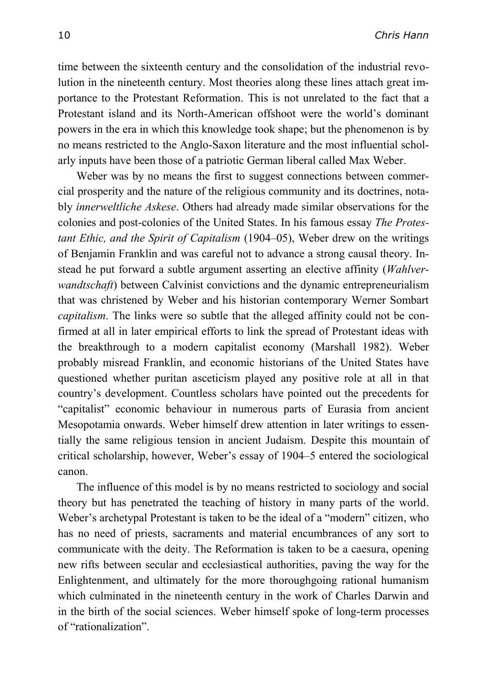time between the sixteenth century and the consolidation of the industrial revolution in the nineteenth century. Most theories along these lines attach great importance to the Protestant Reformation. This is not unrelated to the fact that a Protestant island and its North-American offshoot were the world's dominant powers in the era in which this knowledge took shape; but the phenomenon is by no means restricted to the Anglo-Saxon literature and the most influential scholarly inputs have been those of a patriotic German liberal called Max Weber.

Weber was by no means the first to suggest connections between commercial prosperity and the nature of the religious community and its doctrines, notably *innerweltliche Askese*. Others had already made similar observations for the colonies and post-colonies of the United States. In his famous essay *The Protestant Ethic, and the Spirit of Capitalism* (1904–05), Weber drew on the writings of Benjamin Franklin and was careful not to advance a strong causal theory. Instead he put forward a subtle argument asserting an elective affinity (*Wahlverwandtschaft*) between Calvinist convictions and the dynamic entrepreneurialism that was christened by Weber and his historian contemporary Werner Sombart *capitalism*. The links were so subtle that the alleged affinity could not be confirmed at all in later empirical efforts to link the spread of Protestant ideas with the breakthrough to a modern capitalist economy (Marshall 1982). Weber probably misread Franklin, and economic historians of the United States have questioned whether puritan asceticism played any positive role at all in that country's development. Countless scholars have pointed out the precedents for "capitalist" economic behaviour in numerous parts of Eurasia from ancient Mesopotamia onwards. Weber himself drew attention in later writings to essentially the same religious tension in ancient Judaism. Despite this mountain of critical scholarship, however, Weber's essay of 1904–5 entered the sociological canon.

The influence of this model is by no means restricted to sociology and social theory but has penetrated the teaching of history in many parts of the world. Weber's archetypal Protestant is taken to be the ideal of a "modern" citizen, who has no need of priests, sacraments and material encumbrances of any sort to communicate with the deity. The Reformation is taken to be a caesura, opening new rifts between secular and ecclesiastical authorities, paving the way for the Enlightenment, and ultimately for the more thoroughgoing rational humanism which culminated in the nineteenth century in the work of Charles Darwin and in the birth of the social sciences. Weber himself spoke of long-term processes of "rationalization".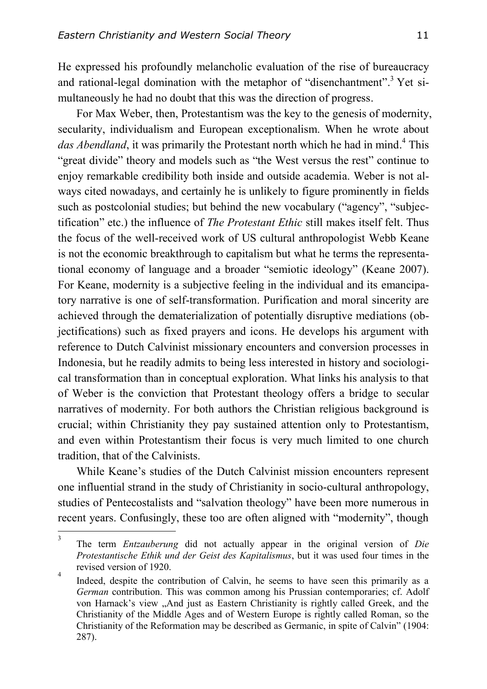He expressed his profoundly melancholic evaluation of the rise of bureaucracy and rational-legal domination with the metaphor of "disenchantment".<sup>3</sup> Yet simultaneously he had no doubt that this was the direction of progress.

For Max Weber, then, Protestantism was the key to the genesis of modernity, secularity, individualism and European exceptionalism. When he wrote about das Abendland, it was primarily the Protestant north which he had in mind.<sup>4</sup> This "great divide" theory and models such as "the West versus the rest" continue to enjoy remarkable credibility both inside and outside academia. Weber is not always cited nowadays, and certainly he is unlikely to figure prominently in fields such as postcolonial studies; but behind the new vocabulary ("agency", "subjectification" etc.) the influence of *The Protestant Ethic* still makes itself felt. Thus the focus of the well-received work of US cultural anthropologist Webb Keane is not the economic breakthrough to capitalism but what he terms the representational economy of language and a broader "semiotic ideology" (Keane 2007). For Keane, modernity is a subjective feeling in the individual and its emancipatory narrative is one of self-transformation. Purification and moral sincerity are achieved through the dematerialization of potentially disruptive mediations (objectifications) such as fixed prayers and icons. He develops his argument with reference to Dutch Calvinist missionary encounters and conversion processes in Indonesia, but he readily admits to being less interested in history and sociological transformation than in conceptual exploration. What links his analysis to that of Weber is the conviction that Protestant theology offers a bridge to secular narratives of modernity. For both authors the Christian religious background is crucial; within Christianity they pay sustained attention only to Protestantism, and even within Protestantism their focus is very much limited to one church tradition, that of the Calvinists.

While Keane's studies of the Dutch Calvinist mission encounters represent one influential strand in the study of Christianity in socio-cultural anthropology, studies of Pentecostalists and "salvation theology" have been more numerous in recent years. Confusingly, these too are often aligned with "modernity", though

 $\frac{1}{3}$ The term *Entzauberung* did not actually appear in the original version of *Die Protestantische Ethik und der Geist des Kapitalismus*, but it was used four times in the revised version of 1920. 4

Indeed, despite the contribution of Calvin, he seems to have seen this primarily as a *German* contribution. This was common among his Prussian contemporaries; cf. Adolf von Harnack's view "And just as Eastern Christianity is rightly called Greek, and the Christianity of the Middle Ages and of Western Europe is rightly called Roman, so the Christianity of the Reformation may be described as Germanic, in spite of Calvin" (1904: 287).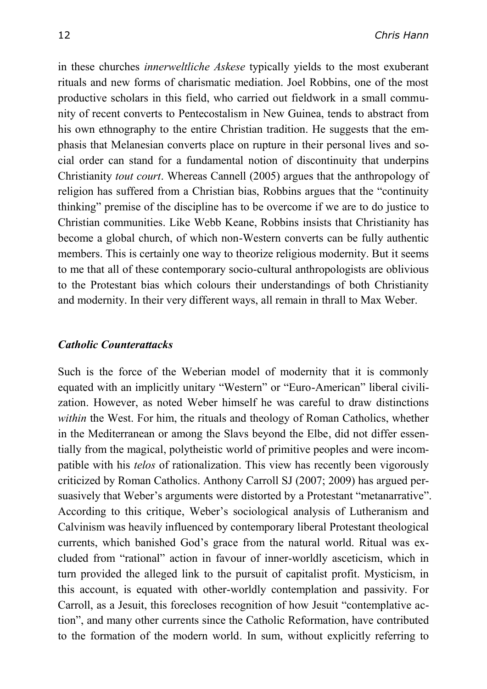in these churches *innerweltliche Askese* typically yields to the most exuberant rituals and new forms of charismatic mediation. Joel Robbins, one of the most productive scholars in this field, who carried out fieldwork in a small community of recent converts to Pentecostalism in New Guinea, tends to abstract from his own ethnography to the entire Christian tradition. He suggests that the emphasis that Melanesian converts place on rupture in their personal lives and social order can stand for a fundamental notion of discontinuity that underpins Christianity *tout court*. Whereas Cannell (2005) argues that the anthropology of religion has suffered from a Christian bias, Robbins argues that the "continuity thinking" premise of the discipline has to be overcome if we are to do justice to Christian communities. Like Webb Keane, Robbins insists that Christianity has become a global church, of which non-Western converts can be fully authentic members. This is certainly one way to theorize religious modernity. But it seems to me that all of these contemporary socio-cultural anthropologists are oblivious to the Protestant bias which colours their understandings of both Christianity and modernity. In their very different ways, all remain in thrall to Max Weber.

### *Catholic Counterattacks*

Such is the force of the Weberian model of modernity that it is commonly equated with an implicitly unitary "Western" or "Euro-American" liberal civilization. However, as noted Weber himself he was careful to draw distinctions *within* the West. For him, the rituals and theology of Roman Catholics, whether in the Mediterranean or among the Slavs beyond the Elbe, did not differ essentially from the magical, polytheistic world of primitive peoples and were incompatible with his *telos* of rationalization. This view has recently been vigorously criticized by Roman Catholics. Anthony Carroll SJ (2007; 2009) has argued persuasively that Weber's arguments were distorted by a Protestant "metanarrative". According to this critique, Weber's sociological analysis of Lutheranism and Calvinism was heavily influenced by contemporary liberal Protestant theological currents, which banished God's grace from the natural world. Ritual was excluded from "rational" action in favour of inner-worldly asceticism, which in turn provided the alleged link to the pursuit of capitalist profit. Mysticism, in this account, is equated with other-worldly contemplation and passivity. For Carroll, as a Jesuit, this forecloses recognition of how Jesuit "contemplative action", and many other currents since the Catholic Reformation, have contributed to the formation of the modern world. In sum, without explicitly referring to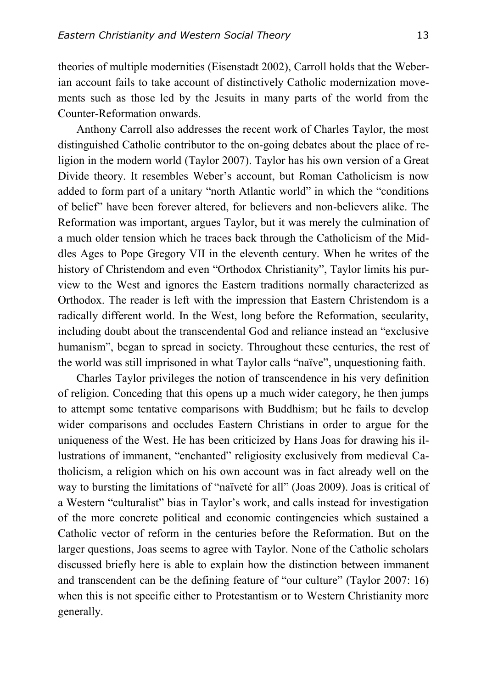theories of multiple modernities (Eisenstadt 2002), Carroll holds that the Weberian account fails to take account of distinctively Catholic modernization movements such as those led by the Jesuits in many parts of the world from the Counter-Reformation onwards.

Anthony Carroll also addresses the recent work of Charles Taylor, the most distinguished Catholic contributor to the on-going debates about the place of religion in the modern world (Taylor 2007). Taylor has his own version of a Great Divide theory. It resembles Weber's account, but Roman Catholicism is now added to form part of a unitary "north Atlantic world" in which the "conditions of belief" have been forever altered, for believers and non-believers alike. The Reformation was important, argues Taylor, but it was merely the culmination of a much older tension which he traces back through the Catholicism of the Middles Ages to Pope Gregory VII in the eleventh century. When he writes of the history of Christendom and even "Orthodox Christianity", Taylor limits his purview to the West and ignores the Eastern traditions normally characterized as Orthodox. The reader is left with the impression that Eastern Christendom is a radically different world. In the West, long before the Reformation, secularity, including doubt about the transcendental God and reliance instead an "exclusive humanism", began to spread in society. Throughout these centuries, the rest of the world was still imprisoned in what Taylor calls "naïve", unquestioning faith.

Charles Taylor privileges the notion of transcendence in his very definition of religion. Conceding that this opens up a much wider category, he then jumps to attempt some tentative comparisons with Buddhism; but he fails to develop wider comparisons and occludes Eastern Christians in order to argue for the uniqueness of the West. He has been criticized by Hans Joas for drawing his illustrations of immanent, "enchanted" religiosity exclusively from medieval Catholicism, a religion which on his own account was in fact already well on the way to bursting the limitations of "naïveté for all" (Joas 2009). Joas is critical of a Western "culturalist" bias in Taylor's work, and calls instead for investigation of the more concrete political and economic contingencies which sustained a Catholic vector of reform in the centuries before the Reformation. But on the larger questions, Joas seems to agree with Taylor. None of the Catholic scholars discussed briefly here is able to explain how the distinction between immanent and transcendent can be the defining feature of "our culture" (Taylor 2007: 16) when this is not specific either to Protestantism or to Western Christianity more generally.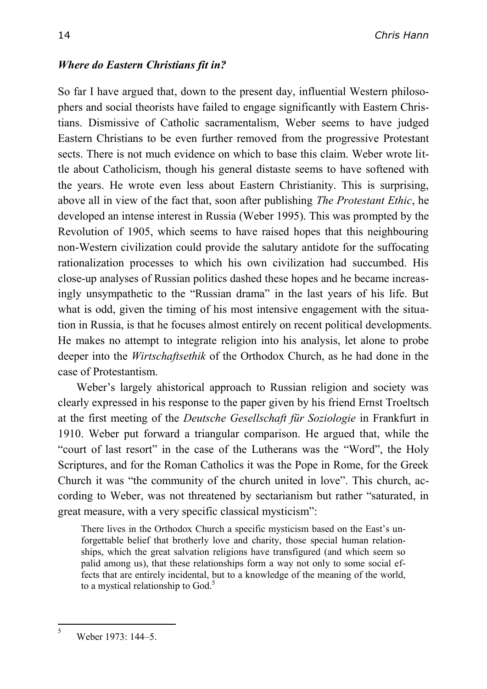## *Where do Eastern Christians fit in?*

So far I have argued that, down to the present day, influential Western philosophers and social theorists have failed to engage significantly with Eastern Christians. Dismissive of Catholic sacramentalism, Weber seems to have judged Eastern Christians to be even further removed from the progressive Protestant sects. There is not much evidence on which to base this claim. Weber wrote little about Catholicism, though his general distaste seems to have softened with the years. He wrote even less about Eastern Christianity. This is surprising, above all in view of the fact that, soon after publishing *The Protestant Ethic*, he developed an intense interest in Russia (Weber 1995). This was prompted by the Revolution of 1905, which seems to have raised hopes that this neighbouring non-Western civilization could provide the salutary antidote for the suffocating rationalization processes to which his own civilization had succumbed. His close-up analyses of Russian politics dashed these hopes and he became increasingly unsympathetic to the "Russian drama" in the last years of his life. But what is odd, given the timing of his most intensive engagement with the situation in Russia, is that he focuses almost entirely on recent political developments. He makes no attempt to integrate religion into his analysis, let alone to probe deeper into the *Wirtschaftsethik* of the Orthodox Church, as he had done in the case of Protestantism.

Weber's largely ahistorical approach to Russian religion and society was clearly expressed in his response to the paper given by his friend Ernst Troeltsch at the first meeting of the *Deutsche Gesellschaft für Soziologie* in Frankfurt in 1910. Weber put forward a triangular comparison. He argued that, while the "court of last resort" in the case of the Lutherans was the "Word", the Holy Scriptures, and for the Roman Catholics it was the Pope in Rome, for the Greek Church it was "the community of the church united in love". This church, according to Weber, was not threatened by sectarianism but rather "saturated, in great measure, with a very specific classical mysticism":

There lives in the Orthodox Church a specific mysticism based on the East's unforgettable belief that brotherly love and charity, those special human relationships, which the great salvation religions have transfigured (and which seem so palid among us), that these relationships form a way not only to some social effects that are entirely incidental, but to a knowledge of the meaning of the world, to a mystical relationship to God.<sup>5</sup>

 $\frac{1}{5}$ 

Weber 1973: 144–5.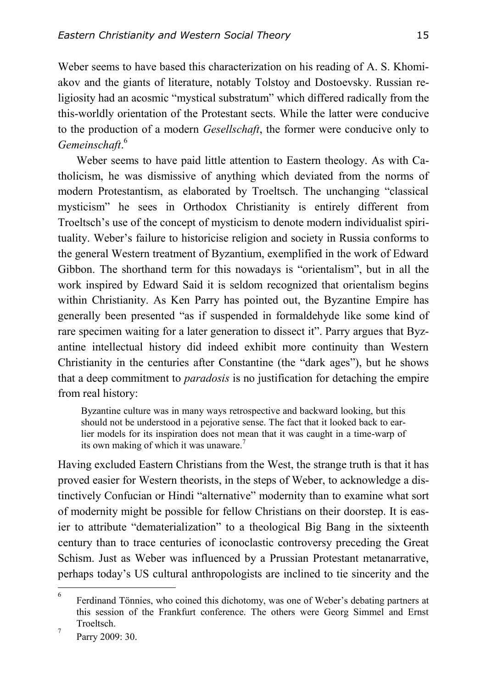Weber seems to have based this characterization on his reading of A. S. Khomiakov and the giants of literature, notably Tolstoy and Dostoevsky. Russian religiosity had an acosmic "mystical substratum" which differed radically from the this-worldly orientation of the Protestant sects. While the latter were conducive to the production of a modern *Gesellschaft*, the former were conducive only to *Gemeinschaft*. 6

Weber seems to have paid little attention to Eastern theology. As with Catholicism, he was dismissive of anything which deviated from the norms of modern Protestantism, as elaborated by Troeltsch. The unchanging "classical mysticism" he sees in Orthodox Christianity is entirely different from Troeltsch's use of the concept of mysticism to denote modern individualist spirituality. Weber's failure to historicise religion and society in Russia conforms to the general Western treatment of Byzantium, exemplified in the work of Edward Gibbon. The shorthand term for this nowadays is "orientalism", but in all the work inspired by Edward Said it is seldom recognized that orientalism begins within Christianity. As Ken Parry has pointed out, the Byzantine Empire has generally been presented "as if suspended in formaldehyde like some kind of rare specimen waiting for a later generation to dissect it". Parry argues that Byzantine intellectual history did indeed exhibit more continuity than Western Christianity in the centuries after Constantine (the "dark ages"), but he shows that a deep commitment to *paradosis* is no justification for detaching the empire from real history:

Byzantine culture was in many ways retrospective and backward looking, but this should not be understood in a pejorative sense. The fact that it looked back to earlier models for its inspiration does not mean that it was caught in a time-warp of its own making of which it was unaware.<sup>7</sup>

Having excluded Eastern Christians from the West, the strange truth is that it has proved easier for Western theorists, in the steps of Weber, to acknowledge a distinctively Confucian or Hindi "alternative" modernity than to examine what sort of modernity might be possible for fellow Christians on their doorstep. It is easier to attribute "dematerialization" to a theological Big Bang in the sixteenth century than to trace centuries of iconoclastic controversy preceding the Great Schism. Just as Weber was influenced by a Prussian Protestant metanarrative, perhaps today's US cultural anthropologists are inclined to tie sincerity and the

 $\frac{1}{6}$ Ferdinand Tönnies, who coined this dichotomy, was one of Weber's debating partners at this session of the Frankfurt conference. The others were Georg Simmel and Ernst Troeltsch. 7

Parry 2009: 30.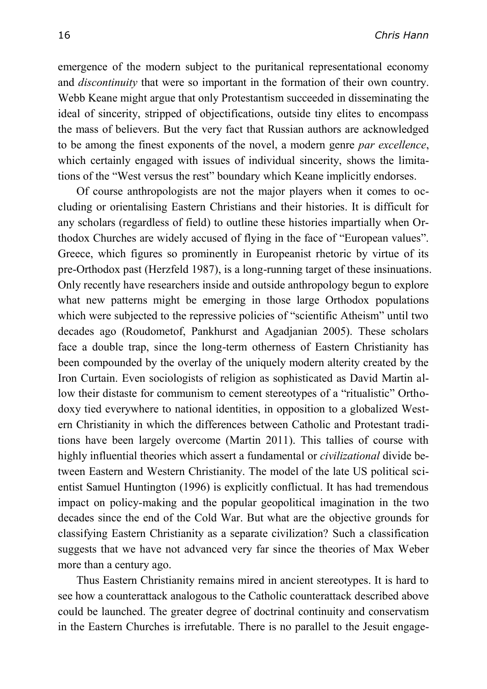emergence of the modern subject to the puritanical representational economy and *discontinuity* that were so important in the formation of their own country. Webb Keane might argue that only Protestantism succeeded in disseminating the ideal of sincerity, stripped of objectifications, outside tiny elites to encompass the mass of believers. But the very fact that Russian authors are acknowledged to be among the finest exponents of the novel, a modern genre *par excellence*, which certainly engaged with issues of individual sincerity, shows the limitations of the "West versus the rest" boundary which Keane implicitly endorses.

Of course anthropologists are not the major players when it comes to occluding or orientalising Eastern Christians and their histories. It is difficult for any scholars (regardless of field) to outline these histories impartially when Orthodox Churches are widely accused of flying in the face of "European values". Greece, which figures so prominently in Europeanist rhetoric by virtue of its pre-Orthodox past (Herzfeld 1987), is a long-running target of these insinuations. Only recently have researchers inside and outside anthropology begun to explore what new patterns might be emerging in those large Orthodox populations which were subjected to the repressive policies of "scientific Atheism" until two decades ago (Roudometof, Pankhurst and Agadjanian 2005). These scholars face a double trap, since the long-term otherness of Eastern Christianity has been compounded by the overlay of the uniquely modern alterity created by the Iron Curtain. Even sociologists of religion as sophisticated as David Martin allow their distaste for communism to cement stereotypes of a "ritualistic" Orthodoxy tied everywhere to national identities, in opposition to a globalized Western Christianity in which the differences between Catholic and Protestant traditions have been largely overcome (Martin 2011). This tallies of course with highly influential theories which assert a fundamental or *civilizational* divide between Eastern and Western Christianity. The model of the late US political scientist Samuel Huntington (1996) is explicitly conflictual. It has had tremendous impact on policy-making and the popular geopolitical imagination in the two decades since the end of the Cold War. But what are the objective grounds for classifying Eastern Christianity as a separate civilization? Such a classification suggests that we have not advanced very far since the theories of Max Weber more than a century ago.

Thus Eastern Christianity remains mired in ancient stereotypes. It is hard to see how a counterattack analogous to the Catholic counterattack described above could be launched. The greater degree of doctrinal continuity and conservatism in the Eastern Churches is irrefutable. There is no parallel to the Jesuit engage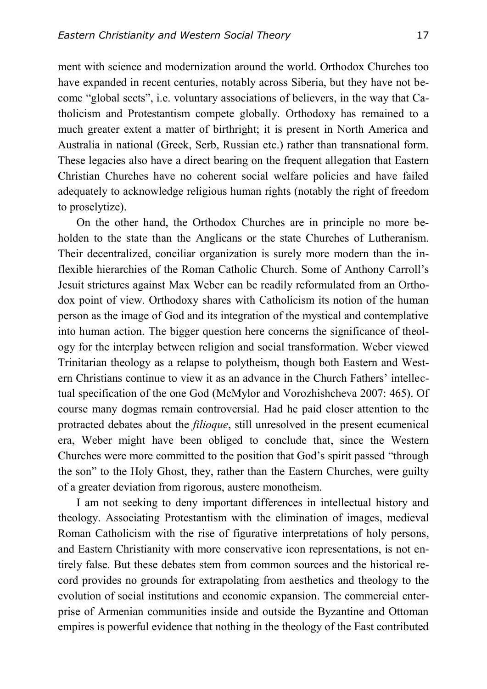ment with science and modernization around the world. Orthodox Churches too have expanded in recent centuries, notably across Siberia, but they have not become "global sects", i.e. voluntary associations of believers, in the way that Catholicism and Protestantism compete globally. Orthodoxy has remained to a much greater extent a matter of birthright; it is present in North America and Australia in national (Greek, Serb, Russian etc.) rather than transnational form. These legacies also have a direct bearing on the frequent allegation that Eastern Christian Churches have no coherent social welfare policies and have failed adequately to acknowledge religious human rights (notably the right of freedom to proselytize).

On the other hand, the Orthodox Churches are in principle no more beholden to the state than the Anglicans or the state Churches of Lutheranism. Their decentralized, conciliar organization is surely more modern than the inflexible hierarchies of the Roman Catholic Church. Some of Anthony Carroll's Jesuit strictures against Max Weber can be readily reformulated from an Orthodox point of view. Orthodoxy shares with Catholicism its notion of the human person as the image of God and its integration of the mystical and contemplative into human action. The bigger question here concerns the significance of theology for the interplay between religion and social transformation. Weber viewed Trinitarian theology as a relapse to polytheism, though both Eastern and Western Christians continue to view it as an advance in the Church Fathers' intellectual specification of the one God (McMylor and Vorozhishcheva 2007: 465). Of course many dogmas remain controversial. Had he paid closer attention to the protracted debates about the *filioque*, still unresolved in the present ecumenical era, Weber might have been obliged to conclude that, since the Western Churches were more committed to the position that God's spirit passed "through the son" to the Holy Ghost, they, rather than the Eastern Churches, were guilty of a greater deviation from rigorous, austere monotheism.

I am not seeking to deny important differences in intellectual history and theology. Associating Protestantism with the elimination of images, medieval Roman Catholicism with the rise of figurative interpretations of holy persons, and Eastern Christianity with more conservative icon representations, is not entirely false. But these debates stem from common sources and the historical record provides no grounds for extrapolating from aesthetics and theology to the evolution of social institutions and economic expansion. The commercial enterprise of Armenian communities inside and outside the Byzantine and Ottoman empires is powerful evidence that nothing in the theology of the East contributed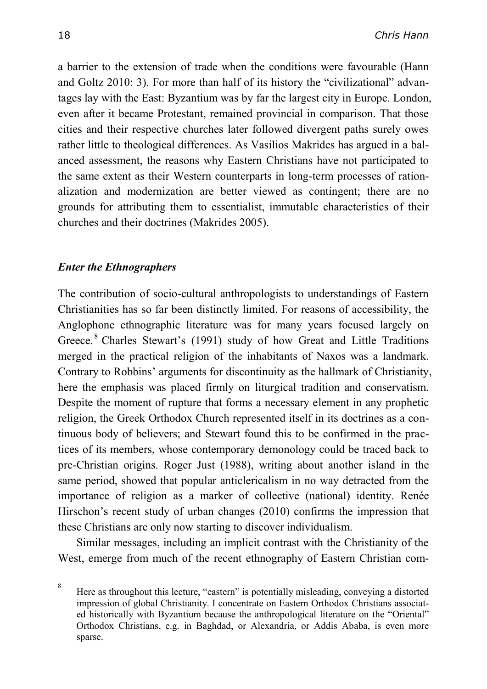a barrier to the extension of trade when the conditions were favourable (Hann and Goltz 2010: 3). For more than half of its history the "civilizational" advantages lay with the East: Byzantium was by far the largest city in Europe. London, even after it became Protestant, remained provincial in comparison. That those cities and their respective churches later followed divergent paths surely owes rather little to theological differences. As Vasilios Makrides has argued in a balanced assessment, the reasons why Eastern Christians have not participated to the same extent as their Western counterparts in long-term processes of rationalization and modernization are better viewed as contingent; there are no grounds for attributing them to essentialist, immutable characteristics of their churches and their doctrines (Makrides 2005).

### *Enter the Ethnographers*

The contribution of socio-cultural anthropologists to understandings of Eastern Christianities has so far been distinctly limited. For reasons of accessibility, the Anglophone ethnographic literature was for many years focused largely on Greece. <sup>8</sup> Charles Stewart's (1991) study of how Great and Little Traditions merged in the practical religion of the inhabitants of Naxos was a landmark. Contrary to Robbins' arguments for discontinuity as the hallmark of Christianity, here the emphasis was placed firmly on liturgical tradition and conservatism. Despite the moment of rupture that forms a necessary element in any prophetic religion, the Greek Orthodox Church represented itself in its doctrines as a continuous body of believers; and Stewart found this to be confirmed in the practices of its members, whose contemporary demonology could be traced back to pre-Christian origins. Roger Just (1988), writing about another island in the same period, showed that popular anticlericalism in no way detracted from the importance of religion as a marker of collective (national) identity. Renée Hirschon's recent study of urban changes (2010) confirms the impression that these Christians are only now starting to discover individualism.

Similar messages, including an implicit contrast with the Christianity of the West, emerge from much of the recent ethnography of Eastern Christian com-

 $\frac{1}{8}$ Here as throughout this lecture, "eastern" is potentially misleading, conveying a distorted impression of global Christianity. I concentrate on Eastern Orthodox Christians associated historically with Byzantium because the anthropological literature on the "Oriental" Orthodox Christians, e.g. in Baghdad, or Alexandria, or Addis Ababa, is even more sparse.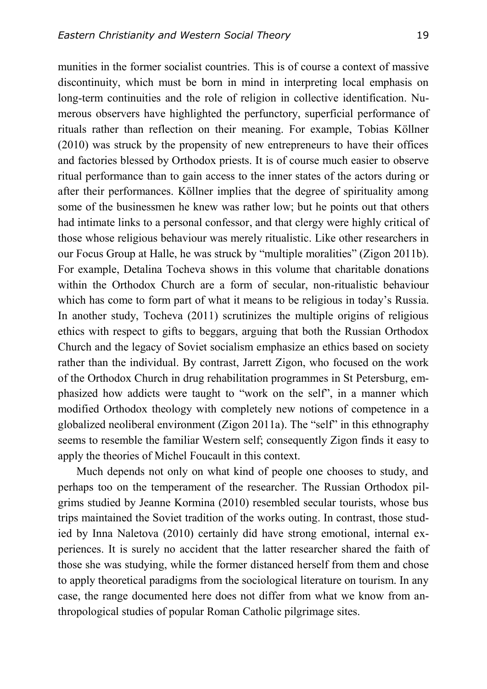munities in the former socialist countries. This is of course a context of massive discontinuity, which must be born in mind in interpreting local emphasis on long-term continuities and the role of religion in collective identification. Numerous observers have highlighted the perfunctory, superficial performance of rituals rather than reflection on their meaning. For example, Tobias Köllner (2010) was struck by the propensity of new entrepreneurs to have their offices and factories blessed by Orthodox priests. It is of course much easier to observe ritual performance than to gain access to the inner states of the actors during or after their performances. Köllner implies that the degree of spirituality among some of the businessmen he knew was rather low; but he points out that others had intimate links to a personal confessor, and that clergy were highly critical of those whose religious behaviour was merely ritualistic. Like other researchers in our Focus Group at Halle, he was struck by "multiple moralities" (Zigon 2011b). For example, Detalina Tocheva shows in this volume that charitable donations within the Orthodox Church are a form of secular, non-ritualistic behaviour which has come to form part of what it means to be religious in today's Russia. In another study, Tocheva (2011) scrutinizes the multiple origins of religious ethics with respect to gifts to beggars, arguing that both the Russian Orthodox Church and the legacy of Soviet socialism emphasize an ethics based on society rather than the individual. By contrast, Jarrett Zigon, who focused on the work of the Orthodox Church in drug rehabilitation programmes in St Petersburg, emphasized how addicts were taught to "work on the self", in a manner which modified Orthodox theology with completely new notions of competence in a globalized neoliberal environment (Zigon 2011a). The "self" in this ethnography seems to resemble the familiar Western self; consequently Zigon finds it easy to apply the theories of Michel Foucault in this context.

Much depends not only on what kind of people one chooses to study, and perhaps too on the temperament of the researcher. The Russian Orthodox pilgrims studied by Jeanne Kormina (2010) resembled secular tourists, whose bus trips maintained the Soviet tradition of the works outing. In contrast, those studied by Inna Naletova (2010) certainly did have strong emotional, internal experiences. It is surely no accident that the latter researcher shared the faith of those she was studying, while the former distanced herself from them and chose to apply theoretical paradigms from the sociological literature on tourism. In any case, the range documented here does not differ from what we know from anthropological studies of popular Roman Catholic pilgrimage sites.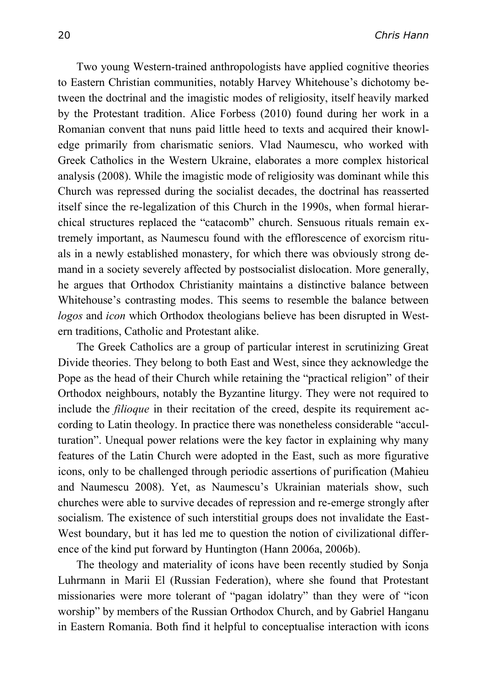Two young Western-trained anthropologists have applied cognitive theories to Eastern Christian communities, notably Harvey Whitehouse's dichotomy between the doctrinal and the imagistic modes of religiosity, itself heavily marked by the Protestant tradition. Alice Forbess (2010) found during her work in a Romanian convent that nuns paid little heed to texts and acquired their knowledge primarily from charismatic seniors. Vlad Naumescu, who worked with Greek Catholics in the Western Ukraine, elaborates a more complex historical analysis (2008). While the imagistic mode of religiosity was dominant while this Church was repressed during the socialist decades, the doctrinal has reasserted itself since the re-legalization of this Church in the 1990s, when formal hierarchical structures replaced the "catacomb" church. Sensuous rituals remain extremely important, as Naumescu found with the efflorescence of exorcism rituals in a newly established monastery, for which there was obviously strong demand in a society severely affected by postsocialist dislocation. More generally, he argues that Orthodox Christianity maintains a distinctive balance between Whitehouse's contrasting modes. This seems to resemble the balance between *logos* and *icon* which Orthodox theologians believe has been disrupted in Western traditions, Catholic and Protestant alike.

The Greek Catholics are a group of particular interest in scrutinizing Great Divide theories. They belong to both East and West, since they acknowledge the Pope as the head of their Church while retaining the "practical religion" of their Orthodox neighbours, notably the Byzantine liturgy. They were not required to include the *filioque* in their recitation of the creed, despite its requirement according to Latin theology. In practice there was nonetheless considerable "acculturation". Unequal power relations were the key factor in explaining why many features of the Latin Church were adopted in the East, such as more figurative icons, only to be challenged through periodic assertions of purification (Mahieu and Naumescu 2008). Yet, as Naumescu's Ukrainian materials show, such churches were able to survive decades of repression and re-emerge strongly after socialism. The existence of such interstitial groups does not invalidate the East-West boundary, but it has led me to question the notion of civilizational difference of the kind put forward by Huntington (Hann 2006a, 2006b).

The theology and materiality of icons have been recently studied by Sonja Luhrmann in Marii El (Russian Federation), where she found that Protestant missionaries were more tolerant of "pagan idolatry" than they were of "icon worship" by members of the Russian Orthodox Church, and by Gabriel Hanganu in Eastern Romania. Both find it helpful to conceptualise interaction with icons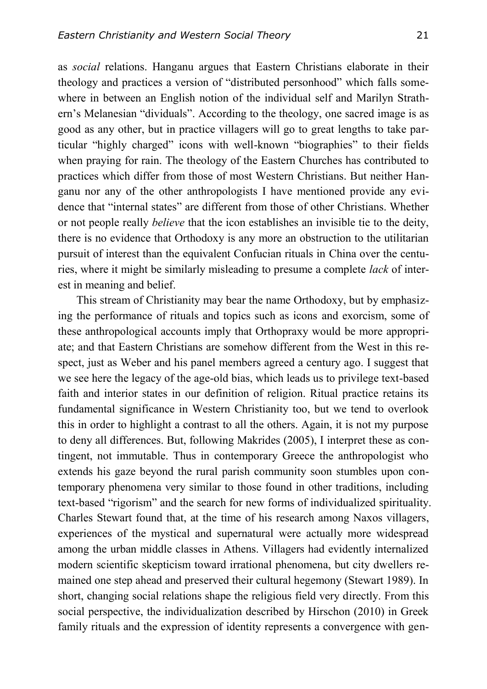as *social* relations. Hanganu argues that Eastern Christians elaborate in their theology and practices a version of "distributed personhood" which falls somewhere in between an English notion of the individual self and Marilyn Strathern's Melanesian "dividuals". According to the theology, one sacred image is as good as any other, but in practice villagers will go to great lengths to take particular "highly charged" icons with well-known "biographies" to their fields when praying for rain. The theology of the Eastern Churches has contributed to practices which differ from those of most Western Christians. But neither Hanganu nor any of the other anthropologists I have mentioned provide any evidence that "internal states" are different from those of other Christians. Whether or not people really *believe* that the icon establishes an invisible tie to the deity, there is no evidence that Orthodoxy is any more an obstruction to the utilitarian pursuit of interest than the equivalent Confucian rituals in China over the centuries, where it might be similarly misleading to presume a complete *lack* of interest in meaning and belief.

This stream of Christianity may bear the name Orthodoxy, but by emphasizing the performance of rituals and topics such as icons and exorcism, some of these anthropological accounts imply that Orthopraxy would be more appropriate; and that Eastern Christians are somehow different from the West in this respect, just as Weber and his panel members agreed a century ago. I suggest that we see here the legacy of the age-old bias, which leads us to privilege text-based faith and interior states in our definition of religion. Ritual practice retains its fundamental significance in Western Christianity too, but we tend to overlook this in order to highlight a contrast to all the others. Again, it is not my purpose to deny all differences. But, following Makrides (2005), I interpret these as contingent, not immutable. Thus in contemporary Greece the anthropologist who extends his gaze beyond the rural parish community soon stumbles upon contemporary phenomena very similar to those found in other traditions, including text-based "rigorism" and the search for new forms of individualized spirituality. Charles Stewart found that, at the time of his research among Naxos villagers, experiences of the mystical and supernatural were actually more widespread among the urban middle classes in Athens. Villagers had evidently internalized modern scientific skepticism toward irrational phenomena, but city dwellers remained one step ahead and preserved their cultural hegemony (Stewart 1989). In short, changing social relations shape the religious field very directly. From this social perspective, the individualization described by Hirschon (2010) in Greek family rituals and the expression of identity represents a convergence with gen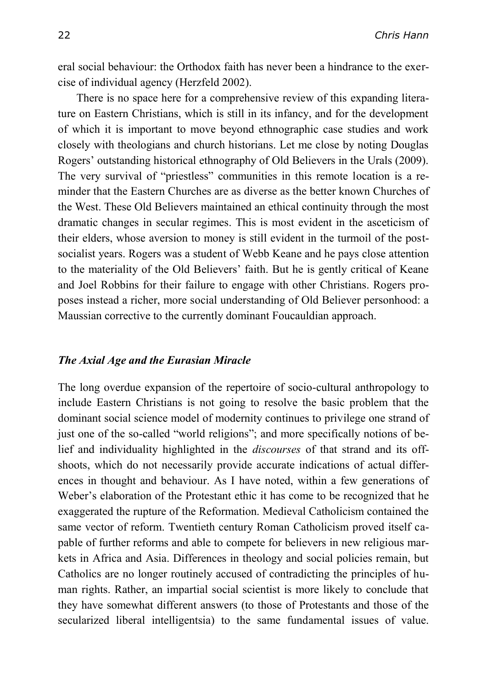eral social behaviour: the Orthodox faith has never been a hindrance to the exercise of individual agency (Herzfeld 2002).

There is no space here for a comprehensive review of this expanding literature on Eastern Christians, which is still in its infancy, and for the development of which it is important to move beyond ethnographic case studies and work closely with theologians and church historians. Let me close by noting Douglas Rogers' outstanding historical ethnography of Old Believers in the Urals (2009). The very survival of "priestless" communities in this remote location is a reminder that the Eastern Churches are as diverse as the better known Churches of the West. These Old Believers maintained an ethical continuity through the most dramatic changes in secular regimes. This is most evident in the asceticism of their elders, whose aversion to money is still evident in the turmoil of the postsocialist years. Rogers was a student of Webb Keane and he pays close attention to the materiality of the Old Believers' faith. But he is gently critical of Keane and Joel Robbins for their failure to engage with other Christians. Rogers proposes instead a richer, more social understanding of Old Believer personhood: a Maussian corrective to the currently dominant Foucauldian approach.

#### *The Axial Age and the Eurasian Miracle*

The long overdue expansion of the repertoire of socio-cultural anthropology to include Eastern Christians is not going to resolve the basic problem that the dominant social science model of modernity continues to privilege one strand of just one of the so-called "world religions"; and more specifically notions of belief and individuality highlighted in the *discourses* of that strand and its offshoots, which do not necessarily provide accurate indications of actual differences in thought and behaviour. As I have noted, within a few generations of Weber's elaboration of the Protestant ethic it has come to be recognized that he exaggerated the rupture of the Reformation. Medieval Catholicism contained the same vector of reform. Twentieth century Roman Catholicism proved itself capable of further reforms and able to compete for believers in new religious markets in Africa and Asia. Differences in theology and social policies remain, but Catholics are no longer routinely accused of contradicting the principles of human rights. Rather, an impartial social scientist is more likely to conclude that they have somewhat different answers (to those of Protestants and those of the secularized liberal intelligentsia) to the same fundamental issues of value.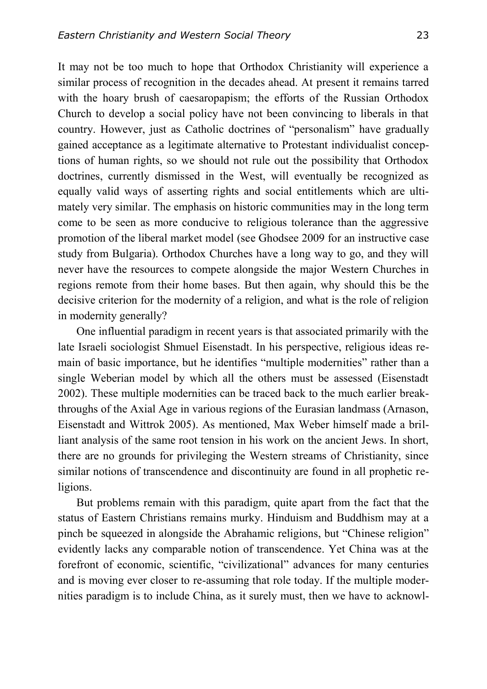It may not be too much to hope that Orthodox Christianity will experience a similar process of recognition in the decades ahead. At present it remains tarred with the hoary brush of caesaropapism; the efforts of the Russian Orthodox Church to develop a social policy have not been convincing to liberals in that country. However, just as Catholic doctrines of "personalism" have gradually gained acceptance as a legitimate alternative to Protestant individualist conceptions of human rights, so we should not rule out the possibility that Orthodox doctrines, currently dismissed in the West, will eventually be recognized as equally valid ways of asserting rights and social entitlements which are ultimately very similar. The emphasis on historic communities may in the long term come to be seen as more conducive to religious tolerance than the aggressive promotion of the liberal market model (see Ghodsee 2009 for an instructive case study from Bulgaria). Orthodox Churches have a long way to go, and they will never have the resources to compete alongside the major Western Churches in regions remote from their home bases. But then again, why should this be the decisive criterion for the modernity of a religion, and what is the role of religion in modernity generally?

One influential paradigm in recent years is that associated primarily with the late Israeli sociologist Shmuel Eisenstadt. In his perspective, religious ideas remain of basic importance, but he identifies "multiple modernities" rather than a single Weberian model by which all the others must be assessed (Eisenstadt 2002). These multiple modernities can be traced back to the much earlier breakthroughs of the Axial Age in various regions of the Eurasian landmass (Arnason, Eisenstadt and Wittrok 2005). As mentioned, Max Weber himself made a brilliant analysis of the same root tension in his work on the ancient Jews. In short, there are no grounds for privileging the Western streams of Christianity, since similar notions of transcendence and discontinuity are found in all prophetic religions.

But problems remain with this paradigm, quite apart from the fact that the status of Eastern Christians remains murky. Hinduism and Buddhism may at a pinch be squeezed in alongside the Abrahamic religions, but "Chinese religion" evidently lacks any comparable notion of transcendence. Yet China was at the forefront of economic, scientific, "civilizational" advances for many centuries and is moving ever closer to re-assuming that role today. If the multiple modernities paradigm is to include China, as it surely must, then we have to acknowl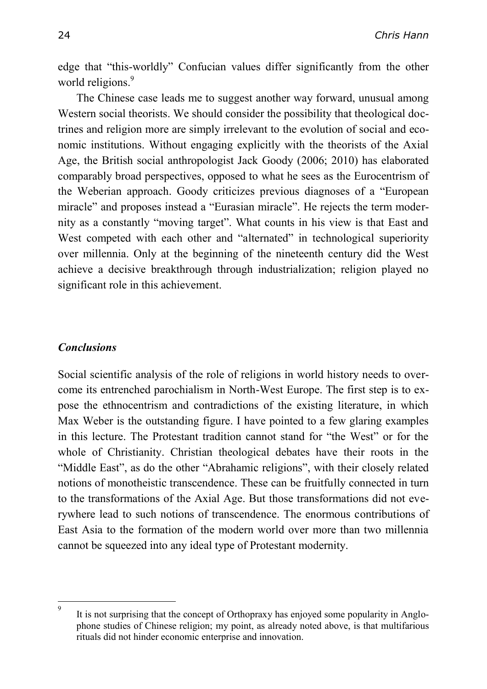edge that "this-worldly" Confucian values differ significantly from the other world religions.<sup>9</sup>

The Chinese case leads me to suggest another way forward, unusual among Western social theorists. We should consider the possibility that theological doctrines and religion more are simply irrelevant to the evolution of social and economic institutions. Without engaging explicitly with the theorists of the Axial Age, the British social anthropologist Jack Goody (2006; 2010) has elaborated comparably broad perspectives, opposed to what he sees as the Eurocentrism of the Weberian approach. Goody criticizes previous diagnoses of a "European miracle" and proposes instead a "Eurasian miracle". He rejects the term modernity as a constantly "moving target". What counts in his view is that East and West competed with each other and "alternated" in technological superiority over millennia. Only at the beginning of the nineteenth century did the West achieve a decisive breakthrough through industrialization; religion played no significant role in this achievement.

### *Conclusions*

Social scientific analysis of the role of religions in world history needs to overcome its entrenched parochialism in North-West Europe. The first step is to expose the ethnocentrism and contradictions of the existing literature, in which Max Weber is the outstanding figure. I have pointed to a few glaring examples in this lecture. The Protestant tradition cannot stand for "the West" or for the whole of Christianity. Christian theological debates have their roots in the "Middle East", as do the other "Abrahamic religions", with their closely related notions of monotheistic transcendence. These can be fruitfully connected in turn to the transformations of the Axial Age. But those transformations did not everywhere lead to such notions of transcendence. The enormous contributions of East Asia to the formation of the modern world over more than two millennia cannot be squeezed into any ideal type of Protestant modernity.

<sup>-&</sup>lt;br>9 It is not surprising that the concept of Orthopraxy has enjoyed some popularity in Anglophone studies of Chinese religion; my point, as already noted above, is that multifarious rituals did not hinder economic enterprise and innovation.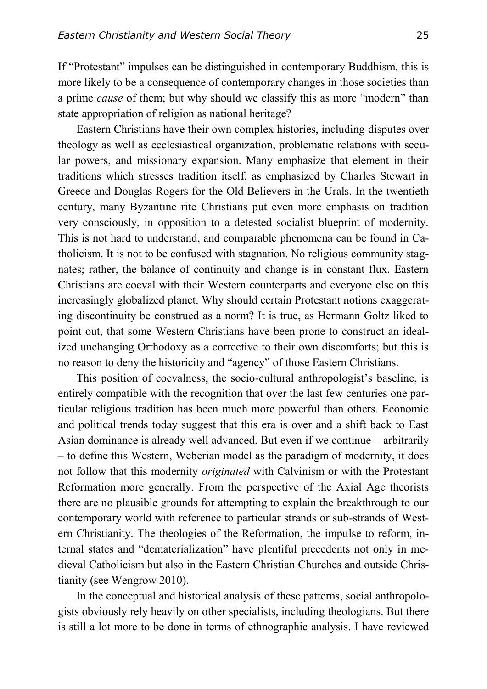If "Protestant" impulses can be distinguished in contemporary Buddhism, this is more likely to be a consequence of contemporary changes in those societies than a prime *cause* of them; but why should we classify this as more "modern" than state appropriation of religion as national heritage?

Eastern Christians have their own complex histories, including disputes over theology as well as ecclesiastical organization, problematic relations with secular powers, and missionary expansion. Many emphasize that element in their traditions which stresses tradition itself, as emphasized by Charles Stewart in Greece and Douglas Rogers for the Old Believers in the Urals. In the twentieth century, many Byzantine rite Christians put even more emphasis on tradition very consciously, in opposition to a detested socialist blueprint of modernity. This is not hard to understand, and comparable phenomena can be found in Catholicism. It is not to be confused with stagnation. No religious community stagnates; rather, the balance of continuity and change is in constant flux. Eastern Christians are coeval with their Western counterparts and everyone else on this increasingly globalized planet. Why should certain Protestant notions exaggerating discontinuity be construed as a norm? It is true, as Hermann Goltz liked to point out, that some Western Christians have been prone to construct an idealized unchanging Orthodoxy as a corrective to their own discomforts; but this is no reason to deny the historicity and "agency" of those Eastern Christians.

This position of coevalness, the socio-cultural anthropologist's baseline, is entirely compatible with the recognition that over the last few centuries one particular religious tradition has been much more powerful than others. Economic and political trends today suggest that this era is over and a shift back to East Asian dominance is already well advanced. But even if we continue – arbitrarily – to define this Western, Weberian model as the paradigm of modernity, it does not follow that this modernity *originated* with Calvinism or with the Protestant Reformation more generally. From the perspective of the Axial Age theorists there are no plausible grounds for attempting to explain the breakthrough to our contemporary world with reference to particular strands or sub-strands of Western Christianity. The theologies of the Reformation, the impulse to reform, internal states and "dematerialization" have plentiful precedents not only in medieval Catholicism but also in the Eastern Christian Churches and outside Christianity (see Wengrow 2010).

In the conceptual and historical analysis of these patterns, social anthropologists obviously rely heavily on other specialists, including theologians. But there is still a lot more to be done in terms of ethnographic analysis. I have reviewed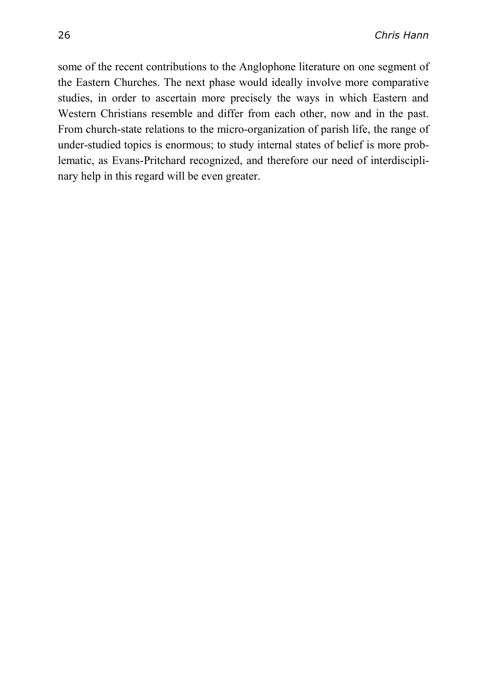some of the recent contributions to the Anglophone literature on one segment of the Eastern Churches. The next phase would ideally involve more comparative studies, in order to ascertain more precisely the ways in which Eastern and Western Christians resemble and differ from each other, now and in the past. From church-state relations to the micro-organization of parish life, the range of under-studied topics is enormous; to study internal states of belief is more problematic, as Evans-Pritchard recognized, and therefore our need of interdisciplinary help in this regard will be even greater.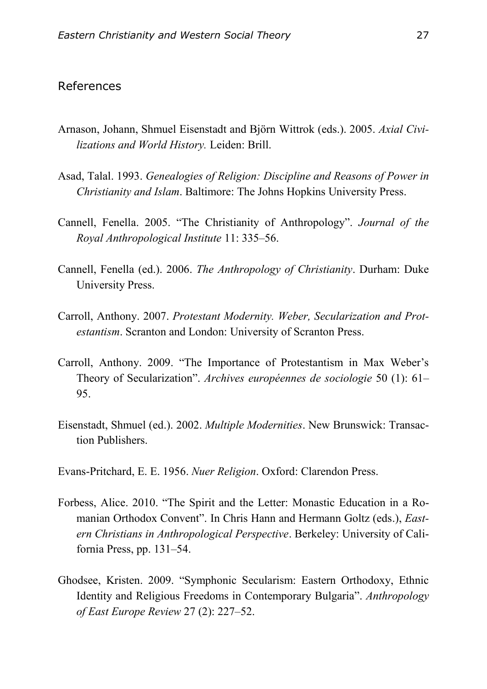## References

- Arnason, Johann, Shmuel Eisenstadt and Björn Wittrok (eds.). 2005. *Axial Civilizations and World History.* Leiden: Brill.
- Asad, Talal. 1993. *Genealogies of Religion: Discipline and Reasons of Power in Christianity and Islam*. Baltimore: The Johns Hopkins University Press.
- Cannell, Fenella. 2005. "The Christianity of Anthropology". *Journal of the Royal Anthropological Institute* 11: 335–56.
- Cannell, Fenella (ed.). 2006. *The Anthropology of Christianity*. Durham: Duke University Press.
- Carroll, Anthony. 2007. *Protestant Modernity. Weber, Secularization and Protestantism*. Scranton and London: University of Scranton Press.
- Carroll, Anthony. 2009. "The Importance of Protestantism in Max Weber's Theory of Secularization". *Archives européennes de sociologie* 50 (1): 61– 95.
- Eisenstadt, Shmuel (ed.). 2002. *Multiple Modernities*. New Brunswick: Transaction Publishers.
- Evans-Pritchard, E. E. 1956. *Nuer Religion*. Oxford: Clarendon Press.
- Forbess, Alice. 2010. "The Spirit and the Letter: Monastic Education in a Romanian Orthodox Convent". In Chris Hann and Hermann Goltz (eds.), *Eastern Christians in Anthropological Perspective*. Berkeley: University of California Press, pp. 131–54.
- Ghodsee, Kristen. 2009. "Symphonic Secularism: Eastern Orthodoxy, Ethnic Identity and Religious Freedoms in Contemporary Bulgaria". *Anthropology of East Europe Review* 27 (2): 227–52.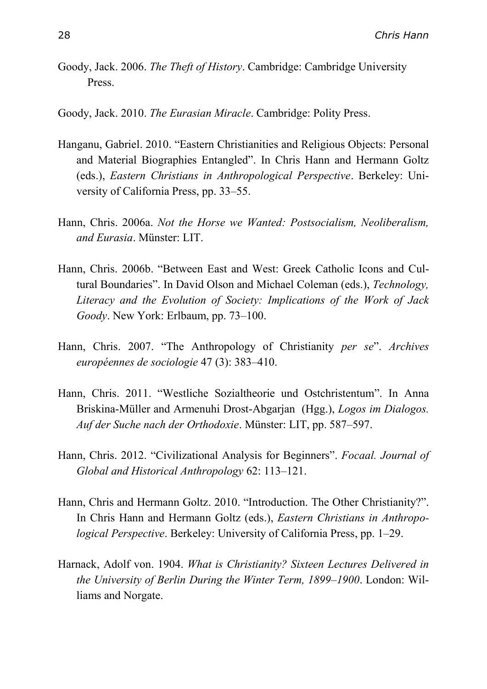Goody, Jack. 2006. *The Theft of History*. Cambridge: Cambridge University Press.

Goody, Jack. 2010. *The Eurasian Miracle*. Cambridge: Polity Press.

- Hanganu, Gabriel. 2010. "Eastern Christianities and Religious Objects: Personal and Material Biographies Entangled". In Chris Hann and Hermann Goltz (eds.), *Eastern Christians in Anthropological Perspective*. Berkeley: University of California Press, pp. 33–55.
- Hann, Chris. 2006a. *Not the Horse we Wanted: Postsocialism, Neoliberalism, and Eurasia*. Münster: LIT.
- Hann, Chris. 2006b. "Between East and West: Greek Catholic Icons and Cultural Boundaries". In David Olson and Michael Coleman (eds.), *Technology, Literacy and the Evolution of Society: Implications of the Work of Jack Goody*. New York: Erlbaum, pp. 73–100.
- Hann, Chris. 2007. "The Anthropology of Christianity *per se*". *Archives européennes de sociologie* 47 (3): 383–410.
- Hann, Chris. 2011. "Westliche Sozialtheorie und Ostchristentum". In Anna Briskina-Müller and Armenuhi Drost-Abgarjan (Hgg.), *Logos im Dialogos. Auf der Suche nach der Orthodoxie*. Münster: LIT, pp. 587–597.
- Hann, Chris. 2012. "Civilizational Analysis for Beginners". *Focaal. Journal of Global and Historical Anthropology* 62: 113–121.
- Hann, Chris and Hermann Goltz. 2010. "Introduction. The Other Christianity?". In Chris Hann and Hermann Goltz (eds.), *Eastern Christians in Anthropological Perspective*. Berkeley: University of California Press, pp. 1–29.
- Harnack, Adolf von. 1904. *What is Christianity? Sixteen Lectures Delivered in the University of Berlin During the Winter Term, 1899–1900*. London: Williams and Norgate.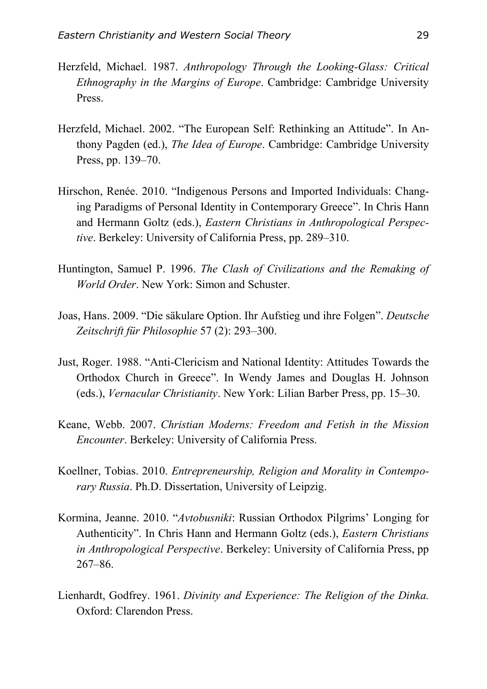- Herzfeld, Michael. 1987. *Anthropology Through the Looking-Glass: Critical Ethnography in the Margins of Europe*. Cambridge: Cambridge University Press.
- Herzfeld, Michael. 2002. "The European Self: Rethinking an Attitude". In Anthony Pagden (ed.), *The Idea of Europe*. Cambridge: Cambridge University Press, pp. 139–70.
- Hirschon, Renée. 2010. "Indigenous Persons and Imported Individuals: Changing Paradigms of Personal Identity in Contemporary Greece". In Chris Hann and Hermann Goltz (eds.), *Eastern Christians in Anthropological Perspective*. Berkeley: University of California Press, pp. 289–310.
- Huntington, Samuel P. 1996. *The Clash of Civilizations and the Remaking of World Order*. New York: Simon and Schuster.
- Joas, Hans. 2009. "Die säkulare Option. Ihr Aufstieg und ihre Folgen". *Deutsche Zeitschrift für Philosophie* 57 (2): 293–300.
- Just, Roger. 1988. "Anti-Clericism and National Identity: Attitudes Towards the Orthodox Church in Greece". In Wendy James and Douglas H. Johnson (eds.), *Vernacular Christianity*. New York: Lilian Barber Press, pp. 15–30.
- Keane, Webb. 2007. *Christian Moderns: Freedom and Fetish in the Mission Encounter*. Berkeley: University of California Press.
- Koellner, Tobias. 2010. *Entrepreneurship, Religion and Morality in Contemporary Russia*. Ph.D. Dissertation, University of Leipzig.
- Kormina, Jeanne. 2010. "*Avtobusniki*: Russian Orthodox Pilgrims' Longing for Authenticity". In Chris Hann and Hermann Goltz (eds.), *Eastern Christians in Anthropological Perspective*. Berkeley: University of California Press, pp 267–86.
- Lienhardt, Godfrey. 1961. *Divinity and Experience: The Religion of the Dinka.* Oxford: Clarendon Press.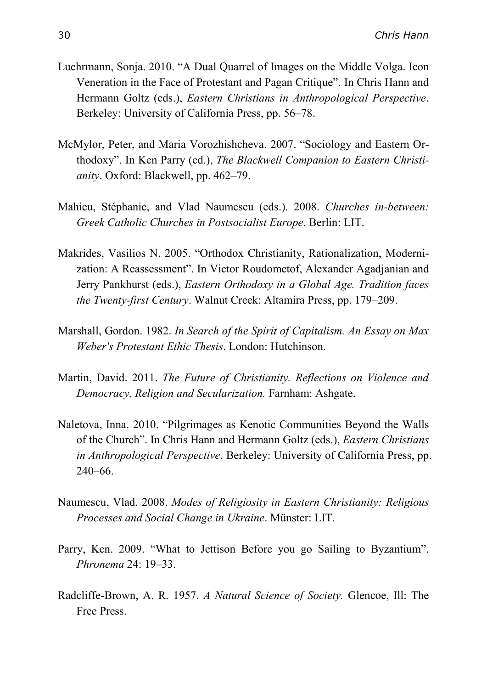- Luehrmann, Sonja. 2010. "A Dual Quarrel of Images on the Middle Volga. Icon Veneration in the Face of Protestant and Pagan Critique". In Chris Hann and Hermann Goltz (eds.), *Eastern Christians in Anthropological Perspective*. Berkeley: University of California Press, pp. 56–78.
- McMylor, Peter, and Maria Vorozhishcheva. 2007. "Sociology and Eastern Orthodoxy". In Ken Parry (ed.), *The Blackwell Companion to Eastern Christianity*. Oxford: Blackwell, pp. 462–79.
- Mahieu, Stéphanie, and Vlad Naumescu (eds.). 2008. *Churches in-between: Greek Catholic Churches in Postsocialist Europe*. Berlin: LIT.
- Makrides, Vasilios N. 2005. "Orthodox Christianity, Rationalization, Modernization: A Reassessment". In Victor Roudometof, Alexander Agadjanian and Jerry Pankhurst (eds.), *Eastern Orthodoxy in a Global Age. Tradition faces the Twenty-first Century*. Walnut Creek: Altamira Press, pp. 179–209.
- Marshall, Gordon. 1982. *In Search of the Spirit of Capitalism. An Essay on Max Weber's Protestant Ethic Thesis*. London: Hutchinson.
- Martin, David. 2011. *The Future of Christianity. Reflections on Violence and Democracy, Religion and Secularization.* Farnham: Ashgate.
- Naletova, Inna. 2010. "Pilgrimages as Kenotic Communities Beyond the Walls of the Church". In Chris Hann and Hermann Goltz (eds.), *Eastern Christians in Anthropological Perspective*. Berkeley: University of California Press, pp. 240–66.
- Naumescu, Vlad. 2008. *Modes of Religiosity in Eastern Christianity: Religious Processes and Social Change in Ukraine*. Münster: LIT.
- Parry, Ken. 2009. "What to Jettison Before you go Sailing to Byzantium". *Phronema* 24: 19–33.
- Radcliffe-Brown, A. R. 1957. *A Natural Science of Society.* Glencoe, Ill: The Free Press.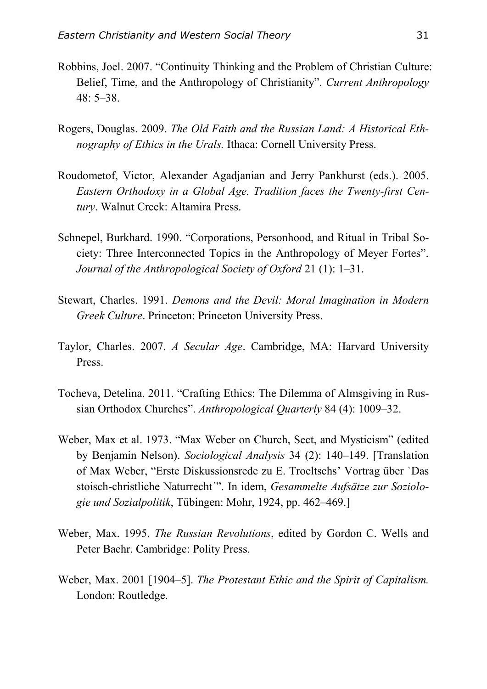- Robbins, Joel. 2007. "Continuity Thinking and the Problem of Christian Culture: Belief, Time, and the Anthropology of Christianity". *Current Anthropology*  48: 5–38.
- Rogers, Douglas. 2009. *The Old Faith and the Russian Land: A Historical Ethnography of Ethics in the Urals.* Ithaca: Cornell University Press.
- Roudometof, Victor, Alexander Agadjanian and Jerry Pankhurst (eds.). 2005. *Eastern Orthodoxy in a Global Age. Tradition faces the Twenty-first Century*. Walnut Creek: Altamira Press.
- Schnepel, Burkhard. 1990. "Corporations, Personhood, and Ritual in Tribal Society: Three Interconnected Topics in the Anthropology of Meyer Fortes". *Journal of the Anthropological Society of Oxford* 21 (1): 1–31.
- Stewart, Charles. 1991. *Demons and the Devil: Moral Imagination in Modern Greek Culture*. Princeton: Princeton University Press.
- Taylor, Charles. 2007. *A Secular Age*. Cambridge, MA: Harvard University Press.
- Tocheva, Detelina. 2011. "Crafting Ethics: The Dilemma of Almsgiving in Russian Orthodox Churches". *Anthropological Quarterly* 84 (4): 1009–32.
- Weber, Max et al. 1973. "Max Weber on Church, Sect, and Mysticism" (edited by Benjamin Nelson). *Sociological Analysis* 34 (2): 140–149. [Translation of Max Weber, "Erste Diskussionsrede zu E. Troeltschs' Vortrag über `Das stoisch-christliche Naturrecht´". In idem, *Gesammelte Aufsätze zur Soziologie und Sozialpolitik*, Tübingen: Mohr, 1924, pp. 462–469.]
- Weber, Max. 1995. *The Russian Revolutions*, edited by Gordon C. Wells and Peter Baehr. Cambridge: Polity Press.
- Weber, Max. 2001 [1904–5]. *The Protestant Ethic and the Spirit of Capitalism.* London: Routledge.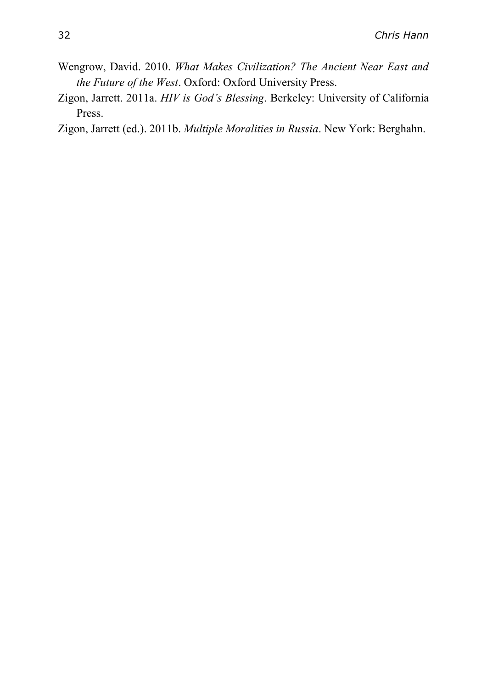- Wengrow, David. 2010. *What Makes Civilization? The Ancient Near East and the Future of the West*. Oxford: Oxford University Press.
- Zigon, Jarrett. 2011a. *HIV is God's Blessing*. Berkeley: University of California Press.

Zigon, Jarrett (ed.). 2011b. *Multiple Moralities in Russia*. New York: Berghahn.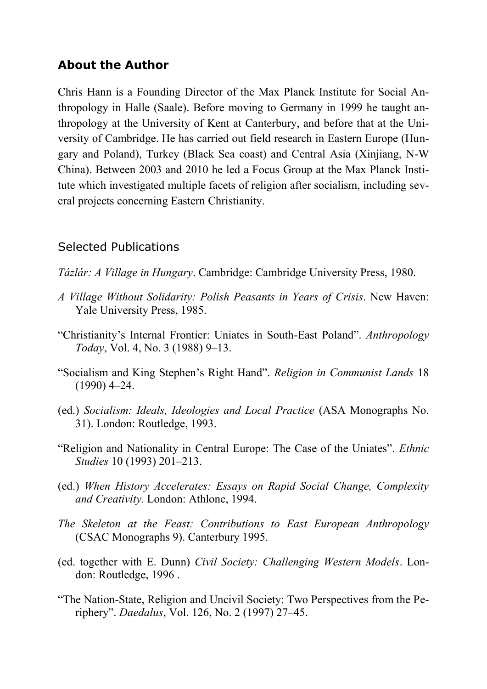# **About the Author**

Chris Hann is a Founding Director of the Max Planck Institute for Social Anthropology in Halle (Saale). Before moving to Germany in 1999 he taught anthropology at the University of Kent at Canterbury, and before that at the University of Cambridge. He has carried out field research in Eastern Europe (Hungary and Poland), Turkey (Black Sea coast) and Central Asia (Xinjiang, N-W China). Between 2003 and 2010 he led a Focus Group at the Max Planck Institute which investigated multiple facets of religion after socialism, including several projects concerning Eastern Christianity.

## Selected Publications

- *Tázlár: A Village in Hungary*. Cambridge: Cambridge University Press, 1980.
- *A Village Without Solidarity: Polish Peasants in Years of Crisis*. New Haven: Yale University Press, 1985.
- "Christianity's Internal Frontier: Uniates in South-East Poland". *Anthropology Today*, Vol. 4, No. 3 (1988) 9–13.
- "Socialism and King Stephen's Right Hand". *Religion in Communist Lands* 18 (1990) 4–24.
- (ed.) *Socialism: Ideals, Ideologies and Local Practice* (ASA Monographs No. 31). London: Routledge, 1993.
- "Religion and Nationality in Central Europe: The Case of the Uniates". *Ethnic Studies* 10 (1993) 201–213.
- (ed.) *When History Accelerates: Essays on Rapid Social Change, Complexity and Creativity.* London: Athlone, 1994.
- *The Skeleton at the Feast: Contributions to East European Anthropology*  (CSAC Monographs 9). Canterbury 1995.
- (ed. together with E. Dunn) *Civil Society: Challenging Western Models*. London: Routledge, 1996 .
- "The Nation-State, Religion and Uncivil Society: Two Perspectives from the Periphery". *Daedalus*, Vol. 126, No. 2 (1997) 27–45.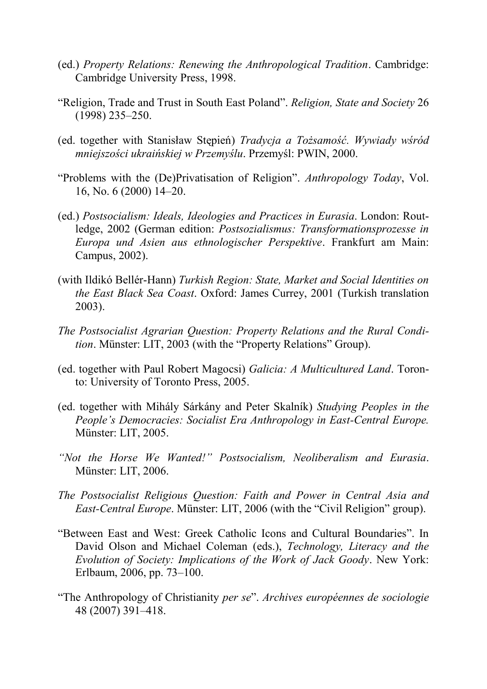- (ed.) *Property Relations: Renewing the Anthropological Tradition*. Cambridge: Cambridge University Press, 1998.
- "Religion, Trade and Trust in South East Poland". *Religion, State and Society* 26 (1998) 235–250.
- (ed. together with Stanisław Stępień) *Tradycja a Tożsamość. Wywiady wśród mniejszości ukraińskiej w Przemyślu*. Przemyśl: PWIN, 2000.
- "Problems with the (De)Privatisation of Religion". *Anthropology Today*, Vol. 16, No. 6 (2000) 14–20.
- (ed.) *Postsocialism: Ideals, Ideologies and Practices in Eurasia*. London: Routledge, 2002 (German edition: *Postsozialismus: Transformationsprozesse in Europa und Asien aus ethnologischer Perspektive*. Frankfurt am Main: Campus, 2002).
- (with Ildikó Bellér-Hann) *Turkish Region: State, Market and Social Identities on the East Black Sea Coast*. Oxford: James Currey, 2001 (Turkish translation 2003).
- *The Postsocialist Agrarian Question: Property Relations and the Rural Condition*. Münster: LIT, 2003 (with the "Property Relations" Group).
- (ed. together with Paul Robert Magocsi) *Galicia: A Multicultured Land*. Toronto: University of Toronto Press, 2005.
- (ed. together with Mihály Sárkány and Peter Skalník) *Studying Peoples in the People's Democracies: Socialist Era Anthropology in East-Central Europe.* Münster: LIT, 2005.
- *"Not the Horse We Wanted!" Postsocialism, Neoliberalism and Eurasia*. Münster: LIT, 2006.
- *The Postsocialist Religious Question: Faith and Power in Central Asia and East-Central Europe*. Münster: LIT, 2006 (with the "Civil Religion" group).
- "Between East and West: Greek Catholic Icons and Cultural Boundaries". In David Olson and Michael Coleman (eds.), *Technology, Literacy and the Evolution of Society: Implications of the Work of Jack Goody*. New York: Erlbaum, 2006, pp. 73–100.
- "The Anthropology of Christianity *per se*". *Archives européennes de sociologie* 48 (2007) 391–418.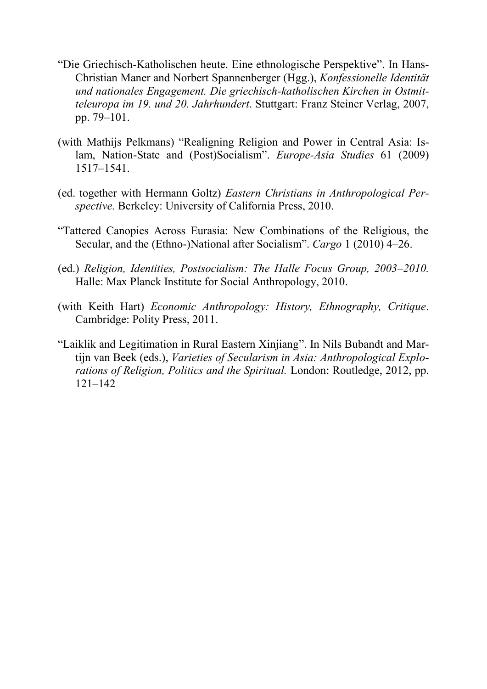- "Die Griechisch-Katholischen heute. Eine ethnologische Perspektive". In Hans-Christian Maner and Norbert Spannenberger (Hgg.), *Konfessionelle Identität und nationales Engagement. Die griechisch-katholischen Kirchen in Ostmitteleuropa im 19. und 20. Jahrhundert*. Stuttgart: Franz Steiner Verlag, 2007, pp. 79–101.
- (with Mathijs Pelkmans) "Realigning Religion and Power in Central Asia: Islam, Nation-State and (Post)Socialism". *Europe-Asia Studies* 61 (2009) 1517–1541.
- (ed. together with Hermann Goltz) *Eastern Christians in Anthropological Perspective.* Berkeley: University of California Press, 2010.
- "Tattered Canopies Across Eurasia: New Combinations of the Religious, the Secular, and the (Ethno-)National after Socialism". *Cargo* 1 (2010) 4–26.
- (ed.) *Religion, Identities, Postsocialism: The Halle Focus Group, 2003–2010.* Halle: Max Planck Institute for Social Anthropology, 2010.
- (with Keith Hart) *Economic Anthropology: History, Ethnography, Critique*. Cambridge: Polity Press, 2011.
- "Laiklik and Legitimation in Rural Eastern Xinjiang". In Nils Bubandt and Martijn van Beek (eds.), *Varieties of Secularism in Asia: Anthropological Explorations of Religion, Politics and the Spiritual.* London: Routledge, 2012, pp. 121–142